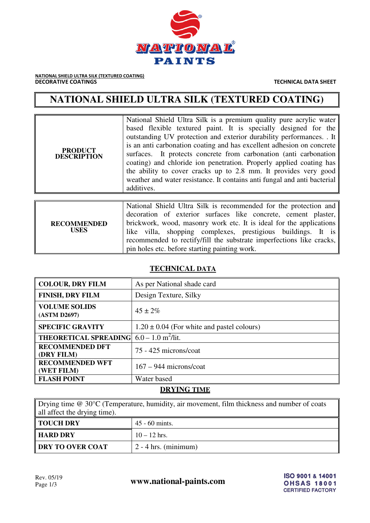

NATIONAL SHIELD ULTRA SILK (TEXTURED COATING) **DECORATIVE COATINGS TECHNICAL DATA SHEET** 

# **NATIONAL SHIELD ULTRA SILK (TEXTURED COATING)**

| <b>PRODUCT</b><br><b>DESCRIPTION</b> | National Shield Ultra Silk is a premium quality pure acrylic water<br>based flexible textured paint. It is specially designed for the<br>outstanding UV protection and exterior durability performances. It<br>is an anti-carbonation coating and has excellent adhesion on concrete<br>surfaces. It protects concrete from carbonation (anti-carbonation)<br>coating) and chloride ion penetration. Properly applied coating has<br>the ability to cover cracks up to 2.8 mm. It provides very good<br>weather and water resistance. It contains anti-fungal and anti-bacterial<br>additives. |
|--------------------------------------|------------------------------------------------------------------------------------------------------------------------------------------------------------------------------------------------------------------------------------------------------------------------------------------------------------------------------------------------------------------------------------------------------------------------------------------------------------------------------------------------------------------------------------------------------------------------------------------------|
|                                      |                                                                                                                                                                                                                                                                                                                                                                                                                                                                                                                                                                                                |
| <b>RECOMMENDED</b><br><b>USES</b>    | National Shield Ultra Silk is recommended for the protection and<br>decoration of exterior surfaces like concrete, cement plaster,<br>brickwork, wood, masonry work etc. It is ideal for the applications<br>like villa, shopping complexes, prestigious buildings. It is<br>recommended to rectify/fill the substrate imperfections like cracks,<br>pin holes etc. before starting painting work.                                                                                                                                                                                             |

## **TECHNICAL DATA**

| <b>COLOUR, DRY FILM</b>              | As per National shade card                     |
|--------------------------------------|------------------------------------------------|
| <b>FINISH, DRY FILM</b>              | Design Texture, Silky                          |
| <b>VOLUME SOLIDS</b><br>(ASTM D2697) | $45 \pm 2\%$                                   |
| <b>SPECIFIC GRAVITY</b>              | $1.20 \pm 0.04$ (For white and pastel colours) |
| <b>THEORETICAL SPREADING!</b>        | $6.0 - 1.0$ m <sup>2</sup> /lit.               |
| <b>RECOMMENDED DFT</b><br>(DRY FILM) | 75 - 425 microns/coat                          |
| <b>RECOMMENDED WFT</b><br>(WET FILM) | $167 - 944$ microns/coat                       |
| <b>FLASH POINT</b>                   | Water based                                    |

## **DRYING TIME**

Drying time @ 30°C (Temperature, humidity, air movement, film thickness and number of coats all affect the drying time). **TOUCH DRY** 45 - 60 mints.

| HARD DRY         | $10 - 12$ hrs.                   |
|------------------|----------------------------------|
| DRY TO OVER COAT | $\frac{1}{2}$ - 4 hrs. (minimum) |

Rev. 05/19<br>Page 1/3 **www.national-paints.com**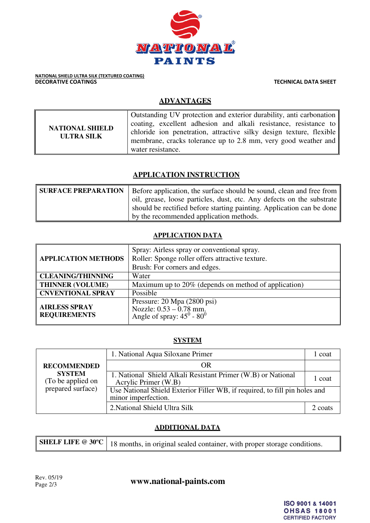

NATIONAL SHIELD ULTRA SILK (TEXTURED COATING) **DECORATIVE COATINGS TECHNICAL DATA SHEET** 

# **ADVANTAGES**

| <b>NATIONAL SHIELD</b><br><b>ULTRA SILK</b> | Outstanding UV protection and exterior durability, anti-carbonation<br>coating, excellent adhesion and alkali resistance, resistance to<br>chloride ion penetration, attractive silky design texture, flexible<br>membrane, cracks tolerance up to 2.8 mm, very good weather and $\parallel$<br>water resistance. |
|---------------------------------------------|-------------------------------------------------------------------------------------------------------------------------------------------------------------------------------------------------------------------------------------------------------------------------------------------------------------------|
|---------------------------------------------|-------------------------------------------------------------------------------------------------------------------------------------------------------------------------------------------------------------------------------------------------------------------------------------------------------------------|

# **APPLICATION INSTRUCTION**

| <b>SURFACE PREPARATION</b> | Before application, the surface should be sound, clean and free from  |
|----------------------------|-----------------------------------------------------------------------|
|                            | oil, grease, loose particles, dust, etc. Any defects on the substrate |
|                            | should be rectified before starting painting. Application can be done |
|                            | by the recommended application methods.                               |

## **APPLICATION DATA**

| <b>APPLICATION METHODS</b>                  | Spray: Airless spray or conventional spray.<br>Roller: Sponge roller offers attractive texture.<br>Brush: For corners and edges. |  |
|---------------------------------------------|----------------------------------------------------------------------------------------------------------------------------------|--|
| <b>CLEANING/THINNING</b>                    | Water                                                                                                                            |  |
| <b>THINNER (VOLUME)</b>                     | Maximum up to 20% (depends on method of application)                                                                             |  |
| <b>CNVENTIONAL SPRAY</b>                    | Possible                                                                                                                         |  |
| <b>AIRLESS SPRAY</b><br><b>REQUIREMENTS</b> | Pressure: 20 Mpa (2800 psi)<br>Nozzle: $0.53 - 0.78$ mm.<br>Angle of spray: $45^0$ - $80^0$                                      |  |

#### **SYSTEM**

| <b>RECOMMENDED</b><br><b>SYSTEM</b><br>(To be applied on<br>prepared surface) | 1. National Aqua Siloxane Primer                                                                  | l coat  |
|-------------------------------------------------------------------------------|---------------------------------------------------------------------------------------------------|---------|
|                                                                               | OR                                                                                                |         |
|                                                                               | 1. National Shield Alkali Resistant Primer (W.B) or National<br>Acrylic Primer (W.B)              | 1 coat  |
|                                                                               | Use National Shield Exterior Filler WB, if required, to fill pin holes and<br>minor imperfection. |         |
|                                                                               | 2. National Shield Ultra Silk                                                                     | 2 coats |

# **ADDITIONAL DATA**

|  | <b>SHELF LIFE</b> $\textcircled{e}$ 30°C   18 months, in original sealed container, with proper storage conditions |
|--|--------------------------------------------------------------------------------------------------------------------|
|--|--------------------------------------------------------------------------------------------------------------------|

Rev. 05/19<br>Page 2/3 **www.national-paints.com**